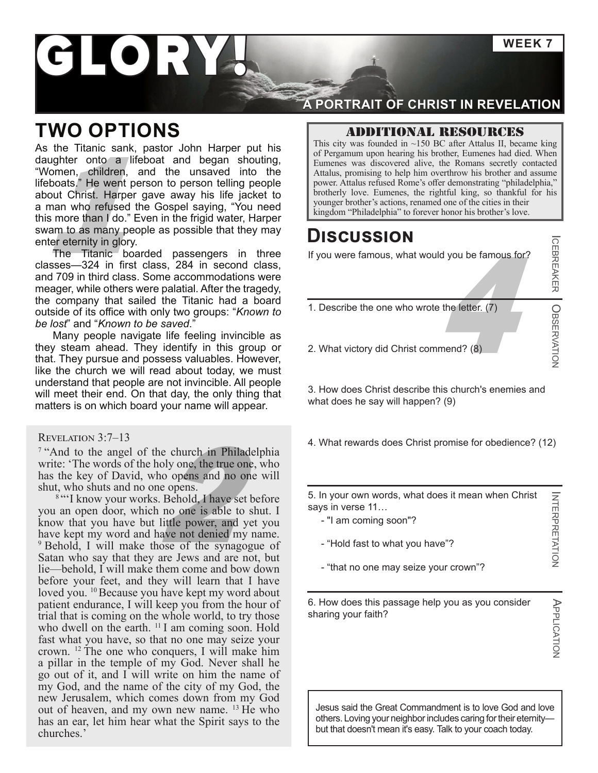**WEEK 7**

# GLORY

### **TWO OPTIONS**

where the many people as possible that they may<br>
were the control of the cities in the cities in the cities in the cities in the cities in the cities in the cities in the cities in the control of the cities in the frigid w As the Titanic sank, pastor John Harper put his daughter onto a lifeboat and began shouting, "Women, children, and the unsaved into the lifeboats." He went person to person telling people about Christ. Harper gave away his life jacket to a man who refused the Gospel saying, "You need this more than I do." Even in the frigid water, Harper swam to as many people as possible that they may enter eternity in glory.

The Titanic boarded passengers in three classes—324 in first class, 284 in second class, and 709 in third class. Some accommodations were meager, while others were palatial. After the tragedy, the company that sailed the Titanic had a board outside of its office with only two groups: "*Known to be lost*" and "*Known to be saved*."

Many people navigate life feeling invincible as they steam ahead. They identify in this group or that. They pursue and possess valuables. However, like the church we will read about today, we must understand that people are not invincible. All people will meet their end. On that day, the only thing that matters is on which board your name will appear.

#### Revelation 3:7–13

<sup>7</sup> "And to the angel of the church in Philadelphia write: 'The words of the holy one, the true one, who has the key of David, who opens and no one will shut, who shuts and no one opens.

ne church in Philadel<br>
oly one, the true one,<br>
no opens and no one<br>
e opens.<br>
Behold, I have set be<br>
no one is able to sh<br>
little power, and yet<br>
ave not denied my na <sup>8</sup> "I know your works. Behold, I have set before you an open door, which no one is able to shut. I know that you have but little power, and yet you have kept my word and have not denied my name. <sup>9</sup> Behold, I will make those of the synagogue of Satan who say that they are Jews and are not, but lie—behold, I will make them come and bow down before your feet, and they will learn that I have loved you. <sup>10</sup> Because you have kept my word about patient endurance, I will keep you from the hour of trial that is coming on the whole world, to try those who dwell on the earth. <sup>11</sup> I am coming soon. Hold fast what you have, so that no one may seize your crown. 12 The one who conquers, I will make him a pillar in the temple of my God. Never shall he go out of it, and I will write on him the name of my God, and the name of the city of my God, the new Jerusalem, which comes down from my God out of heaven, and my own new name. 13 He who has an ear, let him hear what the Spirit says to the churches.'

### **A PORTRAIT OF CHRIST IN REVELATION**

#### Additional resources

This city was founded in  $~150$  BC after Attalus II, became king of Pergamum upon hearing his brother, Eumenes had died. When Eumenes was discovered alive, the Romans secretly contacted Attalus, promising to help him overthrow his brother and assume power. Attalus refused Rome's offer demonstrating "philadelphia," brotherly love. Eumenes, the rightful king, so thankful for his

### **Discussion**

If you were famous, what would you be famous for?

- $\frac{4}{3}$  the letter. (7)<br>amend? (8) 1. Describe the one who wrote the letter. (7)
- 2. What victory did Christ commend? (8)

3. How does Christ describe this church's enemies and what does he say will happen? (9)

4. What rewards does Christ promise for obedience? (12)

5. In your own words, what does it mean when Christ says in verse 11…

- "I am coming soon"?
- "Hold fast to what you have"?
- "that no one may seize your crown"?

6. How does this passage help you as you consider sharing your faith?

INTERPRETATION

**INTERPRETATION** 

ICEBREAKER

OBSERVATION

**ICEBREAKER COBSERVATION** 

Jesus said the Great Commandment is to love God and love others. Loving your neighbor includes caring for their eternity but that doesn't mean it's easy. Talk to your coach today.